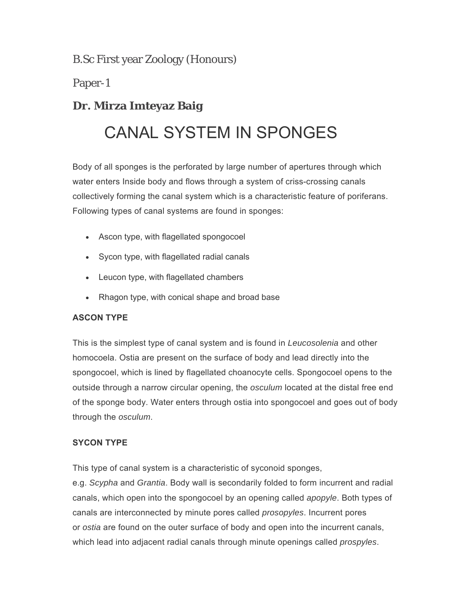B.Sc First year Zoology (Honours)

Paper-1

# **Dr. Mirza Imteyaz Baig**

# CANAL SYSTEM IN SPONGES

Body of all sponges is the perforated by large number of apertures through which water enters Inside body and flows through a system of criss-crossing canals collectively forming the canal system which is a characteristic feature of poriferans. Following types of canal systems are found in sponges:

- Ascon type, with flagellated spongocoel
- Sycon type, with flagellated radial canals
- Leucon type, with flagellated chambers
- Rhagon type, with conical shape and broad base

# **ASCON TYPE**

This is the simplest type of canal system and is found in *Leucosolenia* and other homocoela. Ostia are present on the surface of body and lead directly into the spongocoel, which is lined by flagellated choanocyte cells. Spongocoel opens to the outside through a narrow circular opening, the *osculum* located at the distal free end of the sponge body. Water enters through ostia into spongocoel and goes out of body through the *osculum*.

# **SYCON TYPE**

This type of canal system is a characteristic of syconoid sponges, e.g. *Scypha* and *Grantia*. Body wall is secondarily folded to form incurrent and radial canals, which open into the spongocoel by an opening called *apopyle*. Both types of canals are interconnected by minute pores called *prosopyles*. Incurrent pores or *ostia* are found on the outer surface of body and open into the incurrent canals, which lead into adjacent radial canals through minute openings called *prospyles*.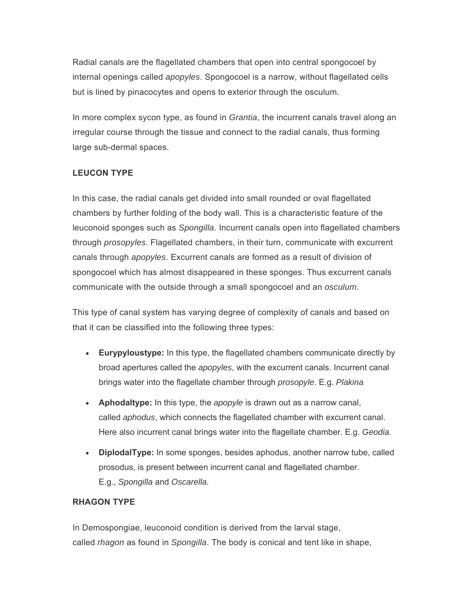Radial canals are the flagellated chambers that open into central spongocoel by internal openings called *apopyles*. Spongocoel is a narrow, without flagellated cells but is lined by pinacocytes and opens to exterior through the osculum.

In more complex sycon type, as found in *Grantia*, the incurrent canals travel along an irregular course through the tissue and connect to the radial canals, thus forming large sub-dermal spaces.

### **LEUCON TYPE**

In this case, the radial canals get divided into small rounded or oval flagellated chambers by further folding of the body wall. This is a characteristic feature of the leuconoid sponges such as *Spongilla*. Incurrent canals open into flagellated chambers through *prosopyles*. Flagellated chambers, in their turn, communicate with excurrent canals through *apopyles*. Excurrent canals are formed as a result of division of spongocoel which has almost disappeared in these sponges. Thus excurrent canals communicate with the outside through a small spongocoel and an *osculum*.

This type of canal system has varying degree of complexity of canals and based on that it can be classified into the following three types:

- **Eurypyloustype:** In this type, the flagellated chambers communicate directly by broad apertures called the *apopyles*, with the excurrent canals. Incurrent canal brings water into the flagellate chamber through *prosopyle*. E.g. *Plakina*
- **Aphodaltype:** In this type, the *apopyle* is drawn out as a narrow canal, called *aphodus*, which connects the flagellated chamber with excurrent canal. Here also incurrent canal brings water into the flagellate chamber. E.g. *Geodia.*
- **DiplodalType:** In some sponges, besides aphodus, another narrow tube, called prosodus, is present between incurrent canal and flagellated chamber. E.g., *Spongilla* and *Oscarella.*

### **RHAGON TYPE**

In Demospongiae, leuconoid condition is derived from the larval stage, called *rhagon* as found in *Spongilla*. The body is conical and tent like in shape,